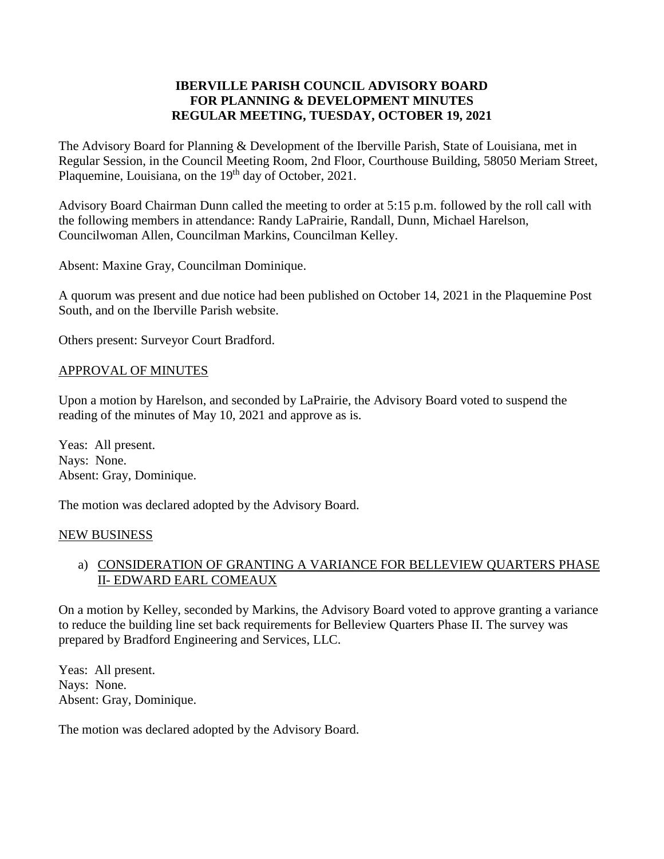## **IBERVILLE PARISH COUNCIL ADVISORY BOARD FOR PLANNING & DEVELOPMENT MINUTES REGULAR MEETING, TUESDAY, OCTOBER 19, 2021**

The Advisory Board for Planning & Development of the Iberville Parish, State of Louisiana, met in Regular Session, in the Council Meeting Room, 2nd Floor, Courthouse Building, 58050 Meriam Street, Plaquemine, Louisiana, on the 19<sup>th</sup> day of October, 2021.

Advisory Board Chairman Dunn called the meeting to order at 5:15 p.m. followed by the roll call with the following members in attendance: Randy LaPrairie, Randall, Dunn, Michael Harelson, Councilwoman Allen, Councilman Markins, Councilman Kelley.

Absent: Maxine Gray, Councilman Dominique.

A quorum was present and due notice had been published on October 14, 2021 in the Plaquemine Post South, and on the Iberville Parish website.

Others present: Surveyor Court Bradford.

### APPROVAL OF MINUTES

Upon a motion by Harelson, and seconded by LaPrairie, the Advisory Board voted to suspend the reading of the minutes of May 10, 2021 and approve as is.

Yeas: All present. Nays: None. Absent: Gray, Dominique.

The motion was declared adopted by the Advisory Board.

### NEW BUSINESS

## a) CONSIDERATION OF GRANTING A VARIANCE FOR BELLEVIEW QUARTERS PHASE II- EDWARD EARL COMEAUX

On a motion by Kelley, seconded by Markins, the Advisory Board voted to approve granting a variance to reduce the building line set back requirements for Belleview Quarters Phase II. The survey was prepared by Bradford Engineering and Services, LLC.

Yeas: All present. Nays: None. Absent: Gray, Dominique.

The motion was declared adopted by the Advisory Board.